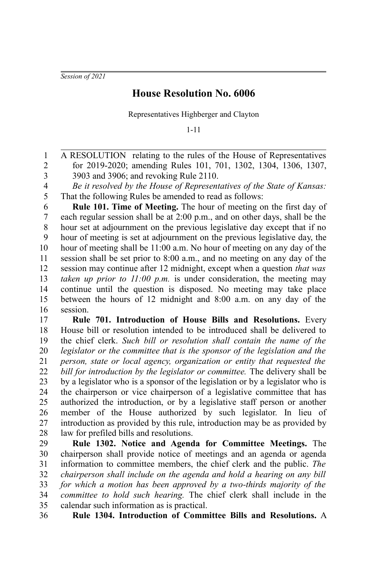*Session of 2021*

## **House Resolution No. 6006**

Representatives Highberger and Clayton

1-11

A RESOLUTION relating to the rules of the House of Representatives for 2019-2020; amending Rules 101, 701, 1302, 1304, 1306, 1307, 3903 and 3906; and revoking Rule 2110. 1 2 3

*Be it resolved by the House of Representatives of the State of Kansas:* That the following Rules be amended to read as follows: 4 5

**Rule 101. Time of Meeting.** The hour of meeting on the first day of each regular session shall be at 2:00 p.m., and on other days, shall be the hour set at adjournment on the previous legislative day except that if no hour of meeting is set at adjournment on the previous legislative day, the hour of meeting shall be 11:00 a.m. No hour of meeting on any day of the session shall be set prior to 8:00 a.m., and no meeting on any day of the session may continue after 12 midnight, except when a question *that was taken up prior to 11:00 p.m.* is under consideration, the meeting may continue until the question is disposed. No meeting may take place between the hours of 12 midnight and 8:00 a.m. on any day of the session. 6 7 8 9 10 11 12 13 14 15 16

**Rule 701. Introduction of House Bills and Resolutions.** Every House bill or resolution intended to be introduced shall be delivered to the chief clerk. *Such bill or resolution shall contain the name of the legislator or the committee that is the sponsor of the legislation and the person, state or local agency, organization or entity that requested the bill for introduction by the legislator or committee.* The delivery shall be by a legislator who is a sponsor of the legislation or by a legislator who is the chairperson or vice chairperson of a legislative committee that has authorized the introduction, or by a legislative staff person or another member of the House authorized by such legislator. In lieu of introduction as provided by this rule, introduction may be as provided by law for prefiled bills and resolutions. 17 18 19 20 21 22 23 24 25 26 27 28

**Rule 1302. Notice and Agenda for Committee Meetings.** The chairperson shall provide notice of meetings and an agenda or agenda information to committee members, the chief clerk and the public. *The chairperson shall include on the agenda and hold a hearing on any bill for which a motion has been approved by a two-thirds majority of the committee to hold such hearing.* The chief clerk shall include in the calendar such information as is practical. 29 30 31 32 33 34 35

**Rule 1304. Introduction of Committee Bills and Resolutions.** A 36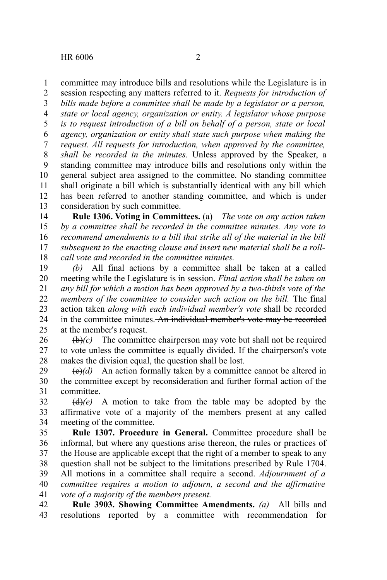HR 6006 2

committee may introduce bills and resolutions while the Legislature is in 1

session respecting any matters referred to it. *Requests for introduction of bills made before a committee shall be made by a legislator or a person, state or local agency, organization or entity. A legislator whose purpose is to request introduction of a bill on behalf of a person, state or local agency, organization or entity shall state such purpose when making the request. All requests for introduction, when approved by the committee, shall be recorded in the minutes.* Unless approved by the Speaker, a standing committee may introduce bills and resolutions only within the general subject area assigned to the committee. No standing committee shall originate a bill which is substantially identical with any bill which has been referred to another standing committee, and which is under consideration by such committee. 2 3 4 5 6 7 8 9 10 11 12 13

**Rule 1306. Voting in Committees.** (a) *The vote on any action taken by a committee shall be recorded in the committee minutes. Any vote to recommend amendments to a bill that strike all of the material in the bill subsequent to the enacting clause and insert new material shall be a rollcall vote and recorded in the committee minutes.* 14 15 16 17 18

*(b)* All final actions by a committee shall be taken at a called meeting while the Legislature is in session. *Final action shall be taken on any bill for which a motion has been approved by a two-thirds vote of the members of the committee to consider such action on the bill.* The final action taken *along with each individual member's vote* shall be recorded in the committee minutes. An individual member's vote may be recorded at the member's request. 19 20 21 22 23 24  $25$ 

 $\left(\frac{b}{c}\right)$  The committee chairperson may vote but shall not be required to vote unless the committee is equally divided. If the chairperson's vote makes the division equal, the question shall be lost. 26 27 28

 $\left(\frac{e}{e}\right)$  An action formally taken by a committee cannot be altered in the committee except by reconsideration and further formal action of the committee. 29 30 31

 $\left(\frac{d}{e}\right)(e)$  A motion to take from the table may be adopted by the affirmative vote of a majority of the members present at any called meeting of the committee. 32 33 34

**Rule 1307. Procedure in General.** Committee procedure shall be informal, but where any questions arise thereon, the rules or practices of the House are applicable except that the right of a member to speak to any question shall not be subject to the limitations prescribed by Rule 1704. All motions in a committee shall require a second. *Adjournment of a committee requires a motion to adjourn, a second and the affirmative vote of a majority of the members present.* 35 36 37 38 39 40 41

**Rule 3903. Showing Committee Amendments.** *(a)* All bills and resolutions reported by a committee with recommendation for 42 43